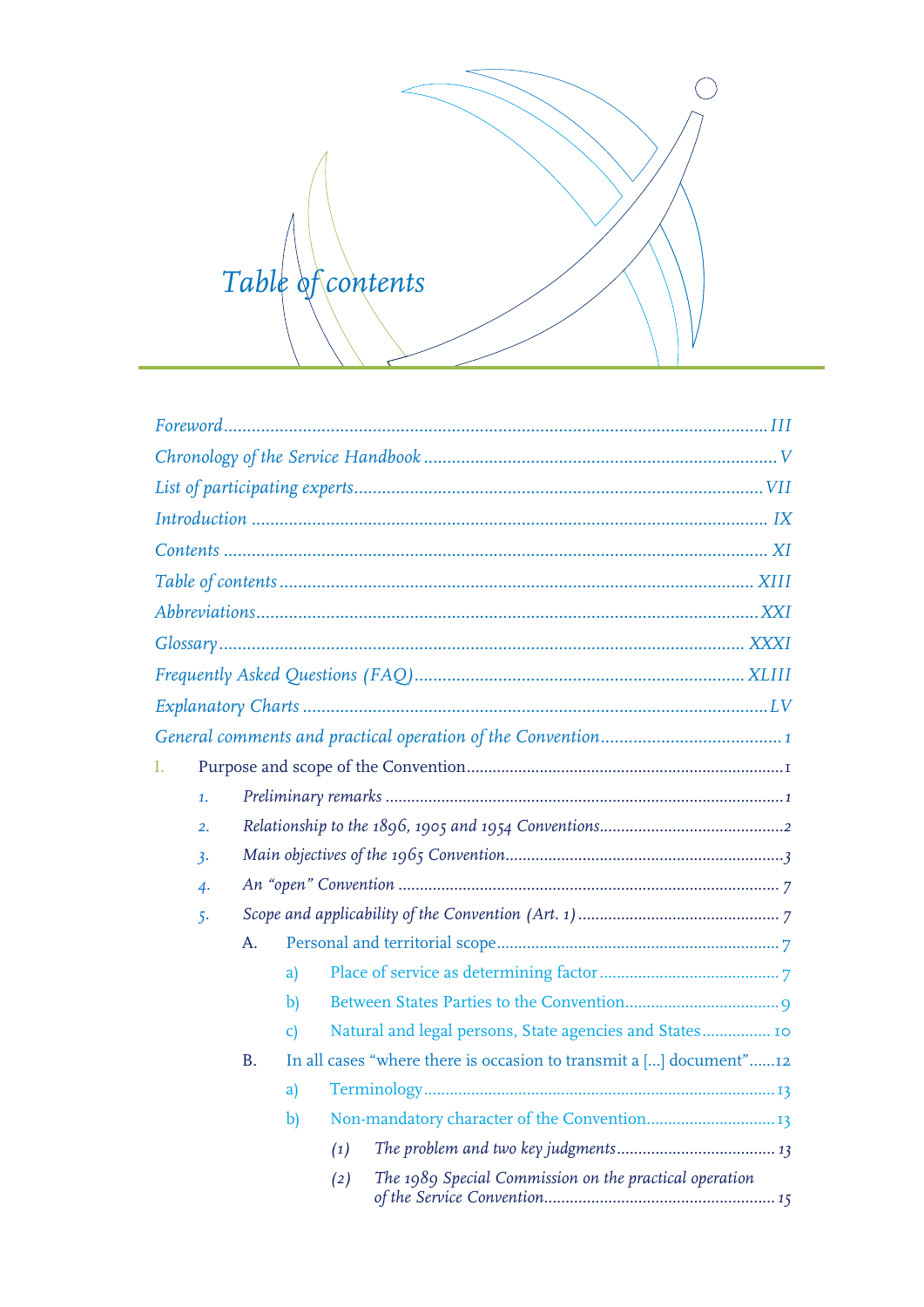

<span id="page-0-0"></span>

| L.               |           |                        |     |                                                                    |  |  |  |  |
|------------------|-----------|------------------------|-----|--------------------------------------------------------------------|--|--|--|--|
| 1.               |           |                        |     |                                                                    |  |  |  |  |
| $\overline{2}$ . |           |                        |     |                                                                    |  |  |  |  |
| 3.               |           |                        |     |                                                                    |  |  |  |  |
| $\overline{4}$   |           |                        |     |                                                                    |  |  |  |  |
| $5 -$            |           |                        |     |                                                                    |  |  |  |  |
|                  | A.        |                        |     |                                                                    |  |  |  |  |
|                  |           | a)                     |     |                                                                    |  |  |  |  |
|                  |           | $\mathbf{b}$           |     |                                                                    |  |  |  |  |
|                  |           | $\mathsf{C}\mathsf{)}$ |     | Natural and legal persons, State agencies and States 10            |  |  |  |  |
|                  | <b>B.</b> |                        |     | In all cases "where there is occasion to transmit a [] document"12 |  |  |  |  |
|                  |           | a)                     |     |                                                                    |  |  |  |  |
|                  |           | $\mathbf{b}$           |     |                                                                    |  |  |  |  |
|                  |           |                        | (1) |                                                                    |  |  |  |  |
|                  |           |                        | (2) | The 1989 Special Commission on the practical operation             |  |  |  |  |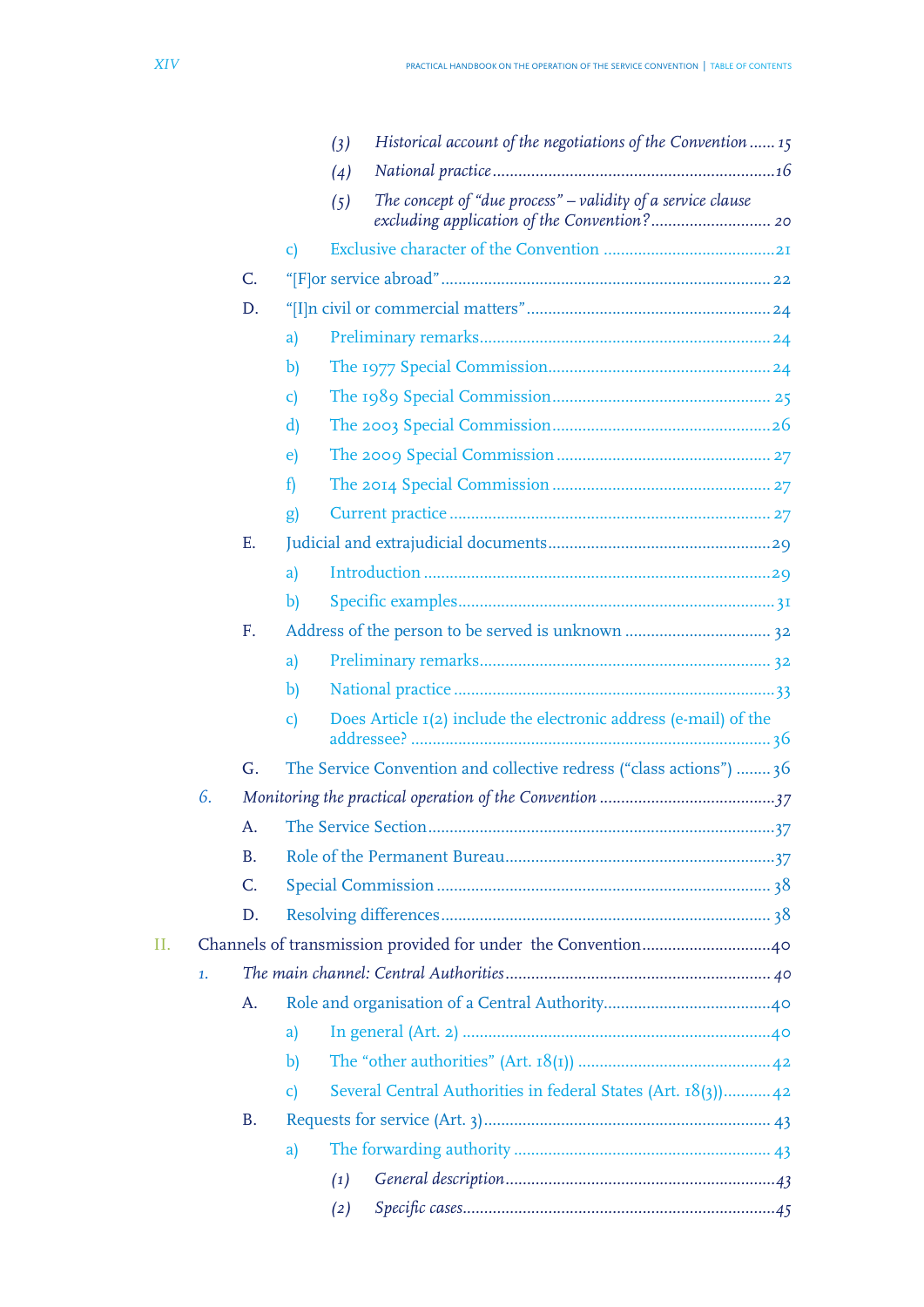|    |    |                |                        | (3) | Historical account of the negotiations of the Convention  15        |  |  |  |  |  |
|----|----|----------------|------------------------|-----|---------------------------------------------------------------------|--|--|--|--|--|
|    |    |                |                        | (4) |                                                                     |  |  |  |  |  |
|    |    |                |                        | (5) | The concept of "due process" $-$ validity of a service clause       |  |  |  |  |  |
|    |    |                | C)                     |     |                                                                     |  |  |  |  |  |
|    |    | $\mathsf{C}$ . |                        |     |                                                                     |  |  |  |  |  |
|    |    | D.             |                        |     |                                                                     |  |  |  |  |  |
|    |    |                | a)                     |     |                                                                     |  |  |  |  |  |
|    |    |                | b)                     |     |                                                                     |  |  |  |  |  |
|    |    |                | $\mathsf{C}\mathsf{)}$ |     |                                                                     |  |  |  |  |  |
|    |    |                | d)                     |     |                                                                     |  |  |  |  |  |
|    |    |                | e)                     |     |                                                                     |  |  |  |  |  |
|    |    |                | $\mathbf{f}$           |     |                                                                     |  |  |  |  |  |
|    |    |                | g)                     |     |                                                                     |  |  |  |  |  |
|    |    | E.             |                        |     |                                                                     |  |  |  |  |  |
|    |    |                | a)                     |     |                                                                     |  |  |  |  |  |
|    |    |                | b)                     |     |                                                                     |  |  |  |  |  |
|    |    | F.             |                        |     |                                                                     |  |  |  |  |  |
|    |    |                | a)                     |     |                                                                     |  |  |  |  |  |
|    |    |                | $\mathbf{b}$           |     |                                                                     |  |  |  |  |  |
|    |    |                | $\mathsf{C}\mathsf{)}$ |     | Does Article 1(2) include the electronic address (e-mail) of the    |  |  |  |  |  |
|    |    | G <sub>r</sub> |                        |     | The Service Convention and collective redress ("class actions")  36 |  |  |  |  |  |
|    | 6. |                |                        |     |                                                                     |  |  |  |  |  |
|    |    | A.             |                        |     |                                                                     |  |  |  |  |  |
|    |    | <b>B.</b>      |                        |     |                                                                     |  |  |  |  |  |
|    |    | C.             |                        |     |                                                                     |  |  |  |  |  |
|    |    | D.             |                        |     |                                                                     |  |  |  |  |  |
| Н. |    |                |                        |     |                                                                     |  |  |  |  |  |
|    | 1. |                |                        |     |                                                                     |  |  |  |  |  |
|    |    | A.             |                        |     |                                                                     |  |  |  |  |  |
|    |    |                | a)                     |     |                                                                     |  |  |  |  |  |
|    |    |                | $\mathbf{b}$           |     |                                                                     |  |  |  |  |  |
|    |    |                | C)                     |     | Several Central Authorities in federal States (Art. 18(3)) 42       |  |  |  |  |  |
|    |    | <b>B.</b>      |                        |     |                                                                     |  |  |  |  |  |
|    |    |                | a)                     |     |                                                                     |  |  |  |  |  |
|    |    |                |                        | (1) |                                                                     |  |  |  |  |  |
|    |    |                |                        | (2) |                                                                     |  |  |  |  |  |
|    |    |                |                        |     |                                                                     |  |  |  |  |  |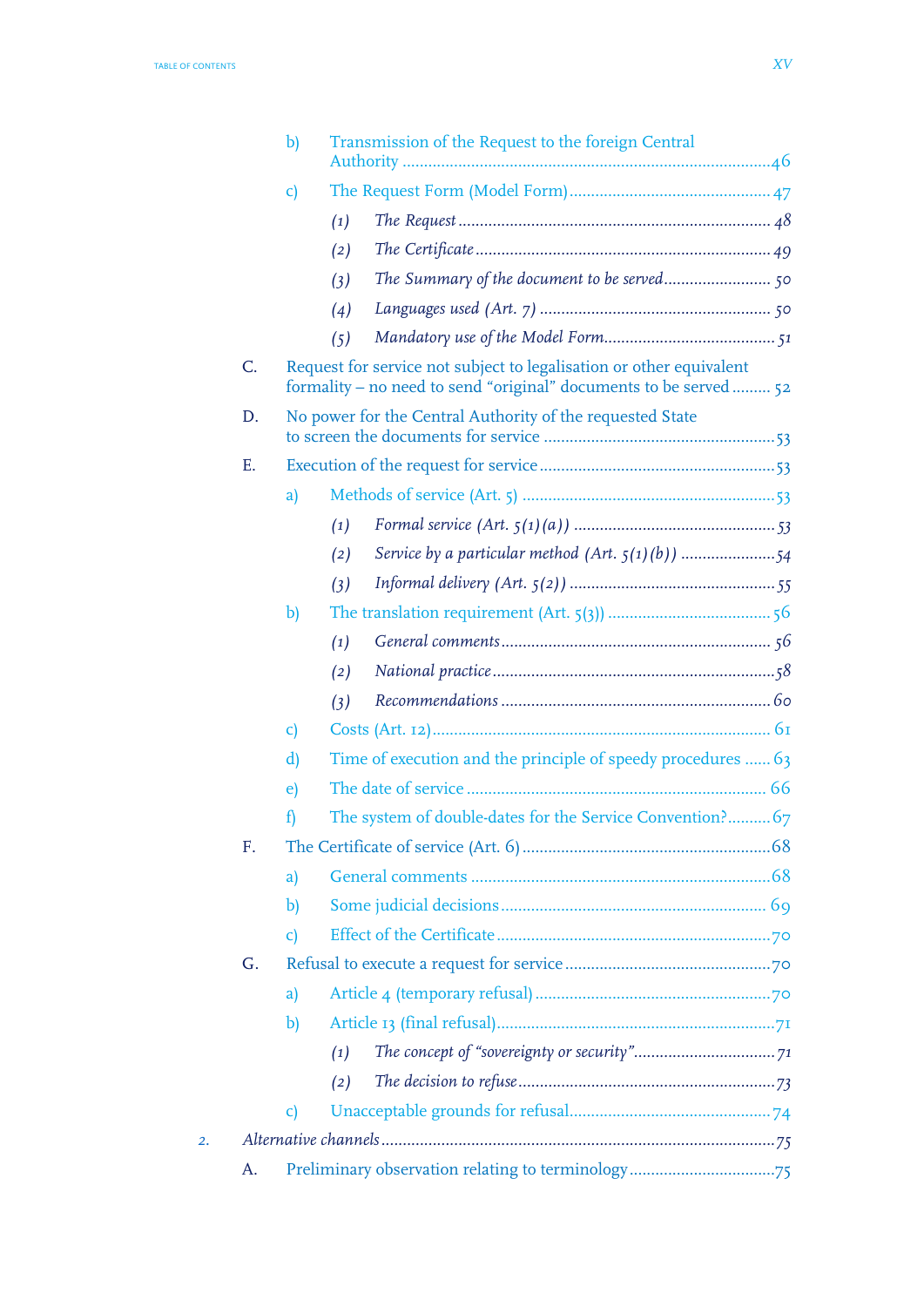|    |    | $\mathbf{b}$           |                   | Transmission of the Request to the foreign Central                                                                                      |  |
|----|----|------------------------|-------------------|-----------------------------------------------------------------------------------------------------------------------------------------|--|
|    |    | $\mathbf{C}$           |                   |                                                                                                                                         |  |
|    |    |                        | (1)               |                                                                                                                                         |  |
|    |    |                        | (2)               |                                                                                                                                         |  |
|    |    |                        | (3)               |                                                                                                                                         |  |
|    |    |                        | (4)               |                                                                                                                                         |  |
|    |    |                        | (5)               |                                                                                                                                         |  |
|    | C. |                        |                   | Request for service not subject to legalisation or other equivalent<br>formality - no need to send "original" documents to be served 52 |  |
|    | D. |                        |                   | No power for the Central Authority of the requested State                                                                               |  |
|    | Е. |                        |                   |                                                                                                                                         |  |
|    |    | a)                     |                   |                                                                                                                                         |  |
|    |    |                        | (1)               |                                                                                                                                         |  |
|    |    |                        | (2)               |                                                                                                                                         |  |
|    |    |                        | (3)               |                                                                                                                                         |  |
|    |    | $\mathbf{b}$           |                   |                                                                                                                                         |  |
|    |    |                        | $\left( 1\right)$ |                                                                                                                                         |  |
|    |    |                        | (2)               |                                                                                                                                         |  |
|    |    |                        | (3)               |                                                                                                                                         |  |
|    |    | $\mathsf{c})$          |                   |                                                                                                                                         |  |
|    |    | d)                     |                   | Time of execution and the principle of speedy procedures  63                                                                            |  |
|    |    | e)                     |                   |                                                                                                                                         |  |
|    |    | $\mathbf{f}$           |                   | The system of double-dates for the Service Convention? 67                                                                               |  |
|    | F. |                        |                   |                                                                                                                                         |  |
|    |    | a)                     |                   |                                                                                                                                         |  |
|    |    | b)                     |                   |                                                                                                                                         |  |
|    |    | $\mathsf{C}\mathsf{)}$ |                   |                                                                                                                                         |  |
|    | G. |                        |                   |                                                                                                                                         |  |
|    |    | a)                     |                   |                                                                                                                                         |  |
|    |    | b)                     |                   |                                                                                                                                         |  |
|    |    |                        | (1)               |                                                                                                                                         |  |
|    |    |                        | (2)               |                                                                                                                                         |  |
|    |    | $\mathsf{C}\mathsf{)}$ |                   |                                                                                                                                         |  |
| 2. |    |                        |                   |                                                                                                                                         |  |
|    | A. |                        |                   |                                                                                                                                         |  |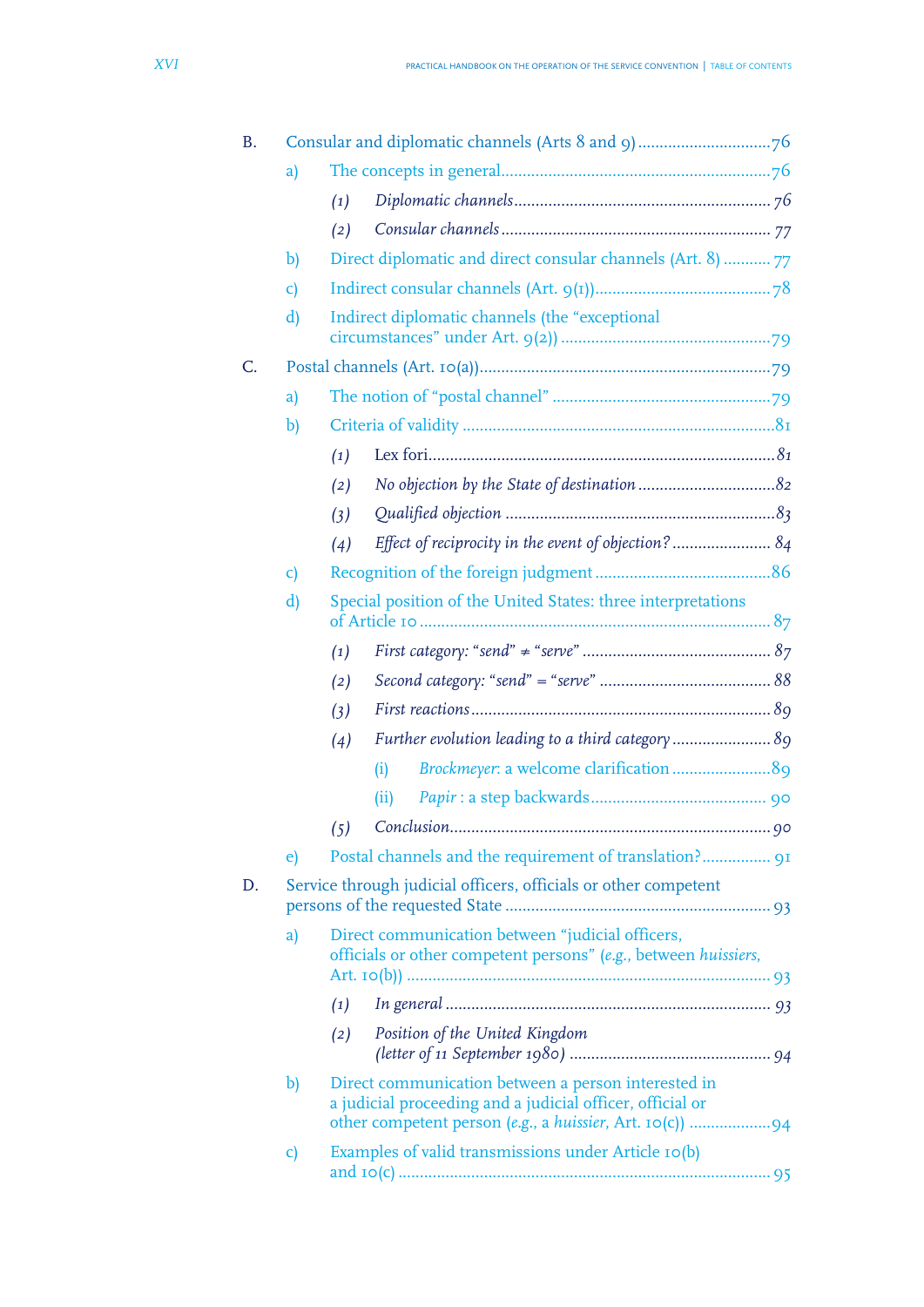| В. |                        |     |                                                                                                                     |  |  |  |  |  |  |
|----|------------------------|-----|---------------------------------------------------------------------------------------------------------------------|--|--|--|--|--|--|
|    | a)                     |     |                                                                                                                     |  |  |  |  |  |  |
|    |                        | (1) |                                                                                                                     |  |  |  |  |  |  |
|    |                        | (2) |                                                                                                                     |  |  |  |  |  |  |
|    | $\mathbf{b}$           |     | Direct diplomatic and direct consular channels (Art. 8)  77                                                         |  |  |  |  |  |  |
|    | $\mathsf{c})$          |     |                                                                                                                     |  |  |  |  |  |  |
|    | $\mathbf{d}$           |     | Indirect diplomatic channels (the "exceptional                                                                      |  |  |  |  |  |  |
| C. |                        |     |                                                                                                                     |  |  |  |  |  |  |
|    | a)                     |     |                                                                                                                     |  |  |  |  |  |  |
|    | $\mathbf{b}$           |     |                                                                                                                     |  |  |  |  |  |  |
|    |                        | (1) |                                                                                                                     |  |  |  |  |  |  |
|    |                        | (2) |                                                                                                                     |  |  |  |  |  |  |
|    |                        | (3) |                                                                                                                     |  |  |  |  |  |  |
|    |                        | (4) | Effect of reciprocity in the event of objection? 84                                                                 |  |  |  |  |  |  |
|    | $\mathsf{C}\mathsf{)}$ |     |                                                                                                                     |  |  |  |  |  |  |
|    | $\mathbf{d}$           |     | Special position of the United States: three interpretations                                                        |  |  |  |  |  |  |
|    |                        | (1) |                                                                                                                     |  |  |  |  |  |  |
|    |                        | (2) |                                                                                                                     |  |  |  |  |  |  |
|    |                        | (3) |                                                                                                                     |  |  |  |  |  |  |
|    |                        | (4) | Further evolution leading to a third category  89                                                                   |  |  |  |  |  |  |
|    |                        |     | (i)                                                                                                                 |  |  |  |  |  |  |
|    |                        |     | (ii)                                                                                                                |  |  |  |  |  |  |
|    |                        | (5) |                                                                                                                     |  |  |  |  |  |  |
|    | $\epsilon$             |     |                                                                                                                     |  |  |  |  |  |  |
| D. |                        |     | Service through judicial officers, officials or other competent                                                     |  |  |  |  |  |  |
|    | a)                     |     | Direct communication between "judicial officers,<br>officials or other competent persons" (e.g., between huissiers, |  |  |  |  |  |  |
|    |                        | (1) |                                                                                                                     |  |  |  |  |  |  |
|    |                        | (2) | Position of the United Kingdom                                                                                      |  |  |  |  |  |  |
|    | b)                     |     | Direct communication between a person interested in<br>a judicial proceeding and a judicial officer, official or    |  |  |  |  |  |  |
|    | $\mathsf{c})$          |     | Examples of valid transmissions under Article 10(b)                                                                 |  |  |  |  |  |  |
|    |                        |     |                                                                                                                     |  |  |  |  |  |  |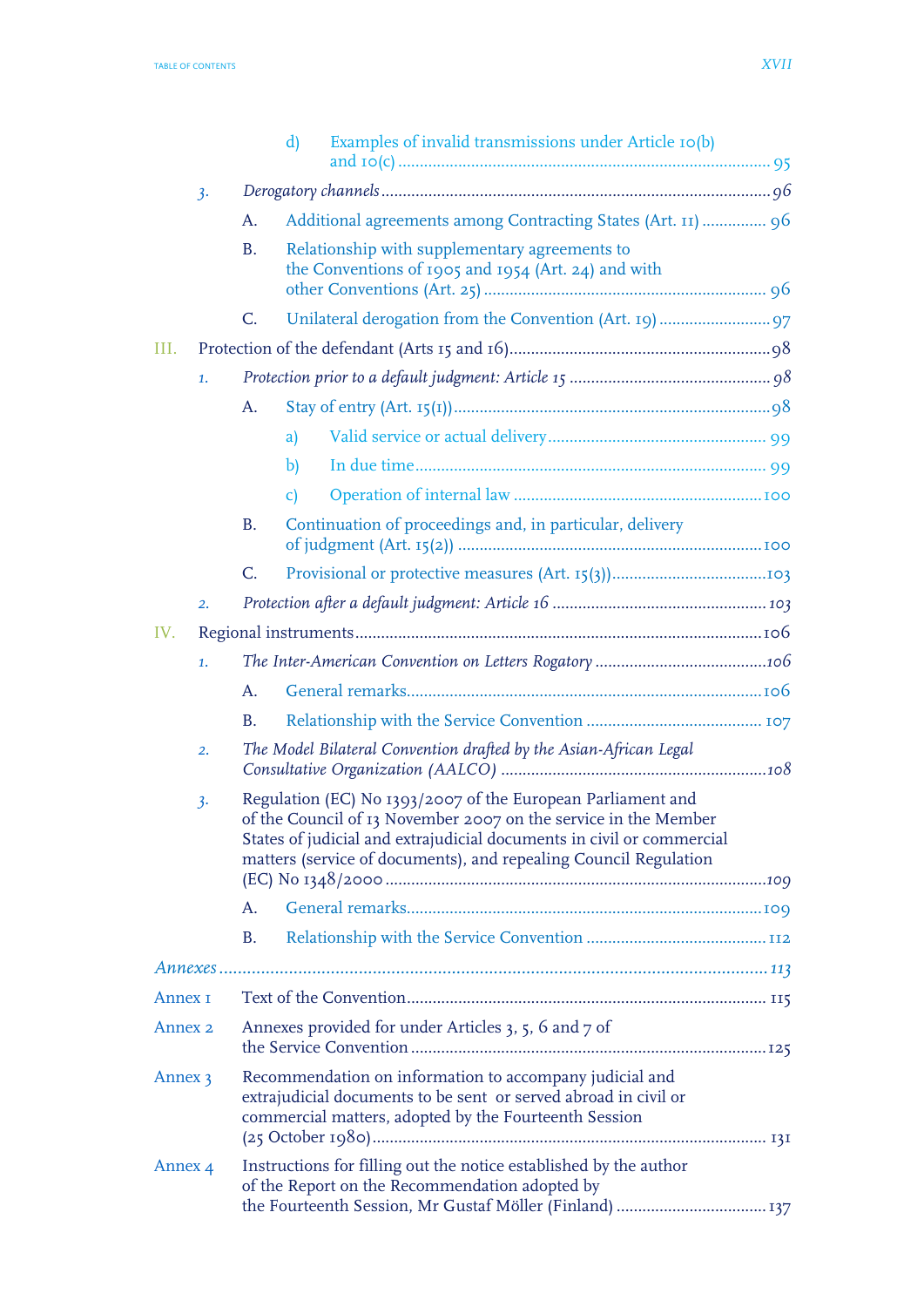|                    |                                                                 |                                                                                                                                                                                     | Examples of invalid transmissions under Article 10(b)<br>$\mathbf{d}$                                                                                                                                                                                                       |  |  |
|--------------------|-----------------------------------------------------------------|-------------------------------------------------------------------------------------------------------------------------------------------------------------------------------------|-----------------------------------------------------------------------------------------------------------------------------------------------------------------------------------------------------------------------------------------------------------------------------|--|--|
|                    | 3.                                                              |                                                                                                                                                                                     |                                                                                                                                                                                                                                                                             |  |  |
|                    |                                                                 | A.                                                                                                                                                                                  | Additional agreements among Contracting States (Art. 11)  96                                                                                                                                                                                                                |  |  |
|                    |                                                                 | <b>B.</b>                                                                                                                                                                           | Relationship with supplementary agreements to<br>the Conventions of 1905 and 1954 (Art. 24) and with                                                                                                                                                                        |  |  |
|                    |                                                                 |                                                                                                                                                                                     |                                                                                                                                                                                                                                                                             |  |  |
|                    |                                                                 | $C_{\cdot}$                                                                                                                                                                         |                                                                                                                                                                                                                                                                             |  |  |
| III.               |                                                                 |                                                                                                                                                                                     |                                                                                                                                                                                                                                                                             |  |  |
|                    | 1.                                                              |                                                                                                                                                                                     |                                                                                                                                                                                                                                                                             |  |  |
|                    |                                                                 | A.                                                                                                                                                                                  |                                                                                                                                                                                                                                                                             |  |  |
|                    |                                                                 |                                                                                                                                                                                     | a)                                                                                                                                                                                                                                                                          |  |  |
|                    |                                                                 |                                                                                                                                                                                     | $\mathbf{b}$                                                                                                                                                                                                                                                                |  |  |
|                    |                                                                 |                                                                                                                                                                                     | $\mathbf{C}$                                                                                                                                                                                                                                                                |  |  |
|                    |                                                                 | <b>B.</b>                                                                                                                                                                           | Continuation of proceedings and, in particular, delivery                                                                                                                                                                                                                    |  |  |
|                    |                                                                 | C.                                                                                                                                                                                  |                                                                                                                                                                                                                                                                             |  |  |
|                    | $\overline{2}$ .                                                |                                                                                                                                                                                     |                                                                                                                                                                                                                                                                             |  |  |
| IV.                |                                                                 |                                                                                                                                                                                     |                                                                                                                                                                                                                                                                             |  |  |
|                    | 1.                                                              |                                                                                                                                                                                     |                                                                                                                                                                                                                                                                             |  |  |
|                    |                                                                 | A.                                                                                                                                                                                  |                                                                                                                                                                                                                                                                             |  |  |
|                    |                                                                 | <b>B.</b>                                                                                                                                                                           |                                                                                                                                                                                                                                                                             |  |  |
|                    | 2.                                                              |                                                                                                                                                                                     | The Model Bilateral Convention drafted by the Asian-African Legal                                                                                                                                                                                                           |  |  |
|                    | 3.                                                              |                                                                                                                                                                                     | Regulation (EC) No 1393/2007 of the European Parliament and<br>of the Council of 13 November 2007 on the service in the Member<br>States of judicial and extrajudicial documents in civil or commercial<br>matters (service of documents), and repealing Council Regulation |  |  |
|                    |                                                                 | A.                                                                                                                                                                                  |                                                                                                                                                                                                                                                                             |  |  |
|                    |                                                                 | <b>B.</b>                                                                                                                                                                           |                                                                                                                                                                                                                                                                             |  |  |
|                    |                                                                 |                                                                                                                                                                                     |                                                                                                                                                                                                                                                                             |  |  |
| Annex I            |                                                                 |                                                                                                                                                                                     |                                                                                                                                                                                                                                                                             |  |  |
|                    | Annexes provided for under Articles 3, 5, 6 and 7 of<br>Annex 2 |                                                                                                                                                                                     |                                                                                                                                                                                                                                                                             |  |  |
| Annex 3            |                                                                 | Recommendation on information to accompany judicial and<br>extrajudicial documents to be sent or served abroad in civil or<br>commercial matters, adopted by the Fourteenth Session |                                                                                                                                                                                                                                                                             |  |  |
| Annex <sub>4</sub> |                                                                 |                                                                                                                                                                                     | Instructions for filling out the notice established by the author<br>of the Report on the Recommendation adopted by                                                                                                                                                         |  |  |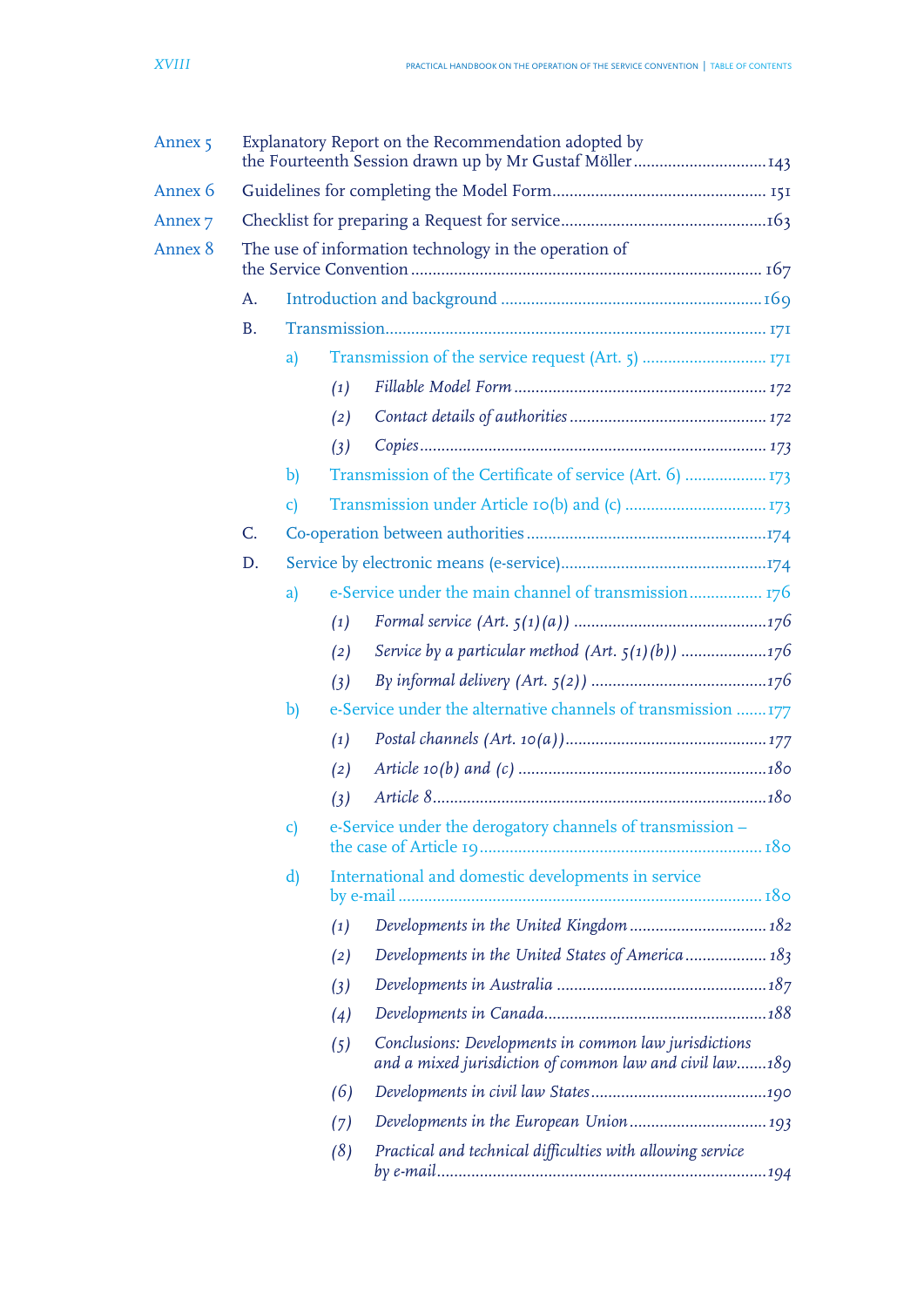| Annex <sub>5</sub> | Explanatory Report on the Recommendation adopted by<br>the Fourteenth Session drawn up by Mr Gustaf Möller143 |                        |                   |                                                                                                                  |  |  |  |  |
|--------------------|---------------------------------------------------------------------------------------------------------------|------------------------|-------------------|------------------------------------------------------------------------------------------------------------------|--|--|--|--|
| Annex 6            |                                                                                                               |                        |                   |                                                                                                                  |  |  |  |  |
| Annex <sub>7</sub> |                                                                                                               |                        |                   |                                                                                                                  |  |  |  |  |
| Annex 8            | The use of information technology in the operation of                                                         |                        |                   |                                                                                                                  |  |  |  |  |
|                    | A.                                                                                                            |                        |                   |                                                                                                                  |  |  |  |  |
|                    | <b>B.</b>                                                                                                     |                        |                   |                                                                                                                  |  |  |  |  |
|                    |                                                                                                               | a)                     |                   |                                                                                                                  |  |  |  |  |
|                    |                                                                                                               |                        | (1)               |                                                                                                                  |  |  |  |  |
|                    |                                                                                                               |                        | (2)               |                                                                                                                  |  |  |  |  |
|                    |                                                                                                               |                        | (3)               |                                                                                                                  |  |  |  |  |
|                    |                                                                                                               | $\mathbf{b}$           |                   |                                                                                                                  |  |  |  |  |
|                    |                                                                                                               | $\mathsf{C}\mathsf{)}$ |                   |                                                                                                                  |  |  |  |  |
|                    | C.                                                                                                            |                        |                   |                                                                                                                  |  |  |  |  |
|                    | D.                                                                                                            |                        |                   |                                                                                                                  |  |  |  |  |
|                    |                                                                                                               | a)                     |                   | e-Service under the main channel of transmission 176                                                             |  |  |  |  |
|                    |                                                                                                               |                        | (1)               |                                                                                                                  |  |  |  |  |
|                    |                                                                                                               |                        | (2)               |                                                                                                                  |  |  |  |  |
|                    |                                                                                                               |                        | (3)               |                                                                                                                  |  |  |  |  |
|                    |                                                                                                               | $\mathbf{b}$           |                   | e-Service under the alternative channels of transmission  177                                                    |  |  |  |  |
|                    |                                                                                                               |                        | (1)               |                                                                                                                  |  |  |  |  |
|                    |                                                                                                               |                        | (2)               |                                                                                                                  |  |  |  |  |
|                    |                                                                                                               |                        | (3)               |                                                                                                                  |  |  |  |  |
|                    |                                                                                                               | C)                     |                   | e-Service under the derogatory channels of transmission -                                                        |  |  |  |  |
|                    |                                                                                                               | d)                     |                   | International and domestic developments in service                                                               |  |  |  |  |
|                    |                                                                                                               |                        | $\left( 1\right)$ |                                                                                                                  |  |  |  |  |
|                    |                                                                                                               |                        | (2)               |                                                                                                                  |  |  |  |  |
|                    |                                                                                                               |                        | (3)               |                                                                                                                  |  |  |  |  |
|                    |                                                                                                               |                        | (4)               |                                                                                                                  |  |  |  |  |
|                    |                                                                                                               |                        | (5)               | Conclusions: Developments in common law jurisdictions<br>and a mixed jurisdiction of common law and civil law189 |  |  |  |  |
|                    |                                                                                                               |                        | (6)               |                                                                                                                  |  |  |  |  |
|                    |                                                                                                               |                        | (7)               |                                                                                                                  |  |  |  |  |
|                    |                                                                                                               |                        | (8)               | Practical and technical difficulties with allowing service                                                       |  |  |  |  |